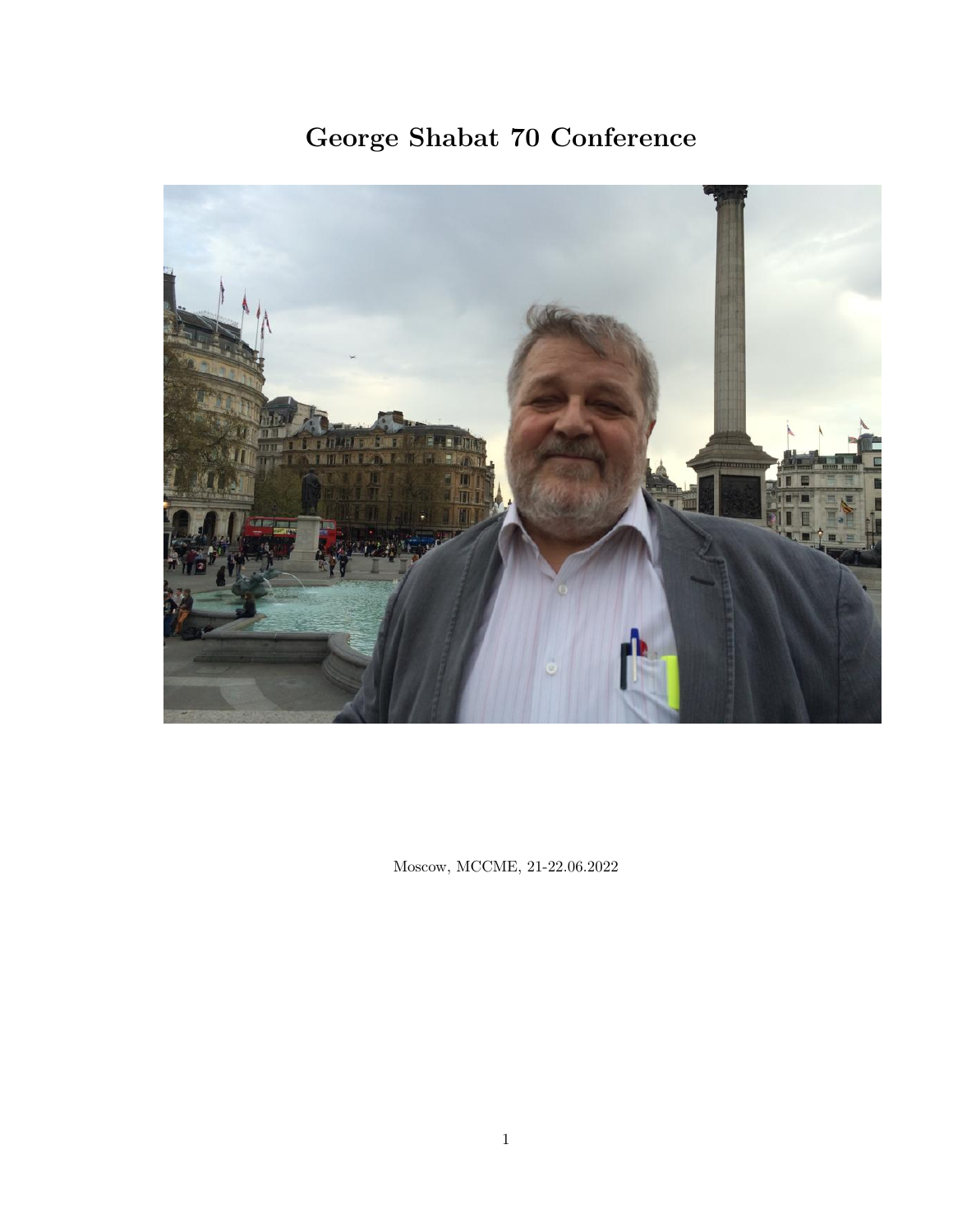# George Shabat 70 Conference



Moscow, MCCME, 21-22.06.2022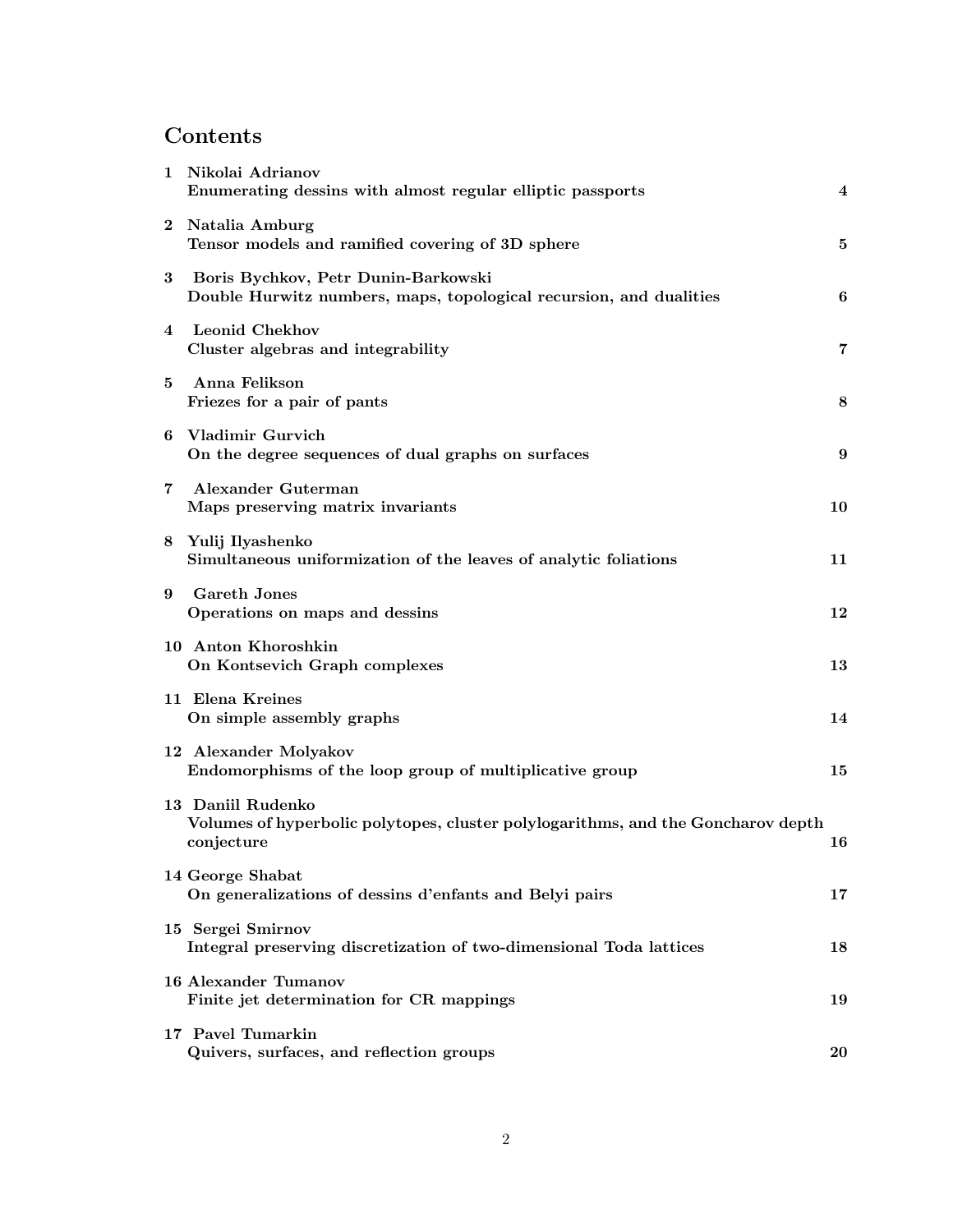#### Contents

| $\mathbf 1$ | Nikolai Adrianov<br>Enumerating dessins with almost regular elliptic passports                                      | 4              |
|-------------|---------------------------------------------------------------------------------------------------------------------|----------------|
|             | 2 Natalia Amburg<br>Tensor models and ramified covering of 3D sphere                                                | 5              |
| 3           | Boris Bychkov, Petr Dunin-Barkowski<br>Double Hurwitz numbers, maps, topological recursion, and dualities           | 6              |
|             | 4 Leonid Chekhov<br>Cluster algebras and integrability                                                              | $\overline{7}$ |
| 5           | Anna Felikson<br>Friezes for a pair of pants                                                                        | 8              |
|             | 6 Vladimir Gurvich<br>On the degree sequences of dual graphs on surfaces                                            | 9              |
| 7           | Alexander Guterman<br>Maps preserving matrix invariants                                                             | 10             |
|             | 8 Yulij Ilyashenko<br>Simultaneous uniformization of the leaves of analytic foliations                              | 11             |
| 9           | <b>Gareth Jones</b><br>Operations on maps and dessins                                                               | 12             |
|             | 10 Anton Khoroshkin<br>On Kontsevich Graph complexes                                                                | 13             |
|             | 11 Elena Kreines<br>On simple assembly graphs                                                                       | 14             |
|             | 12 Alexander Molyakov<br>Endomorphisms of the loop group of multiplicative group                                    | 15             |
|             | 13 Daniil Rudenko<br>Volumes of hyperbolic polytopes, cluster polylogarithms, and the Goncharov depth<br>conjecture | 16             |
|             | 14 George Shabat<br>On generalizations of dessins d'enfants and Belyi pairs                                         | 17             |
|             | 15 Sergei Smirnov<br>Integral preserving discretization of two-dimensional Toda lattices                            | 18             |
|             | 16 Alexander Tumanov<br>Finite jet determination for CR mappings                                                    | 19             |
|             | 17 Pavel Tumarkin<br>Quivers, surfaces, and reflection groups                                                       | 20             |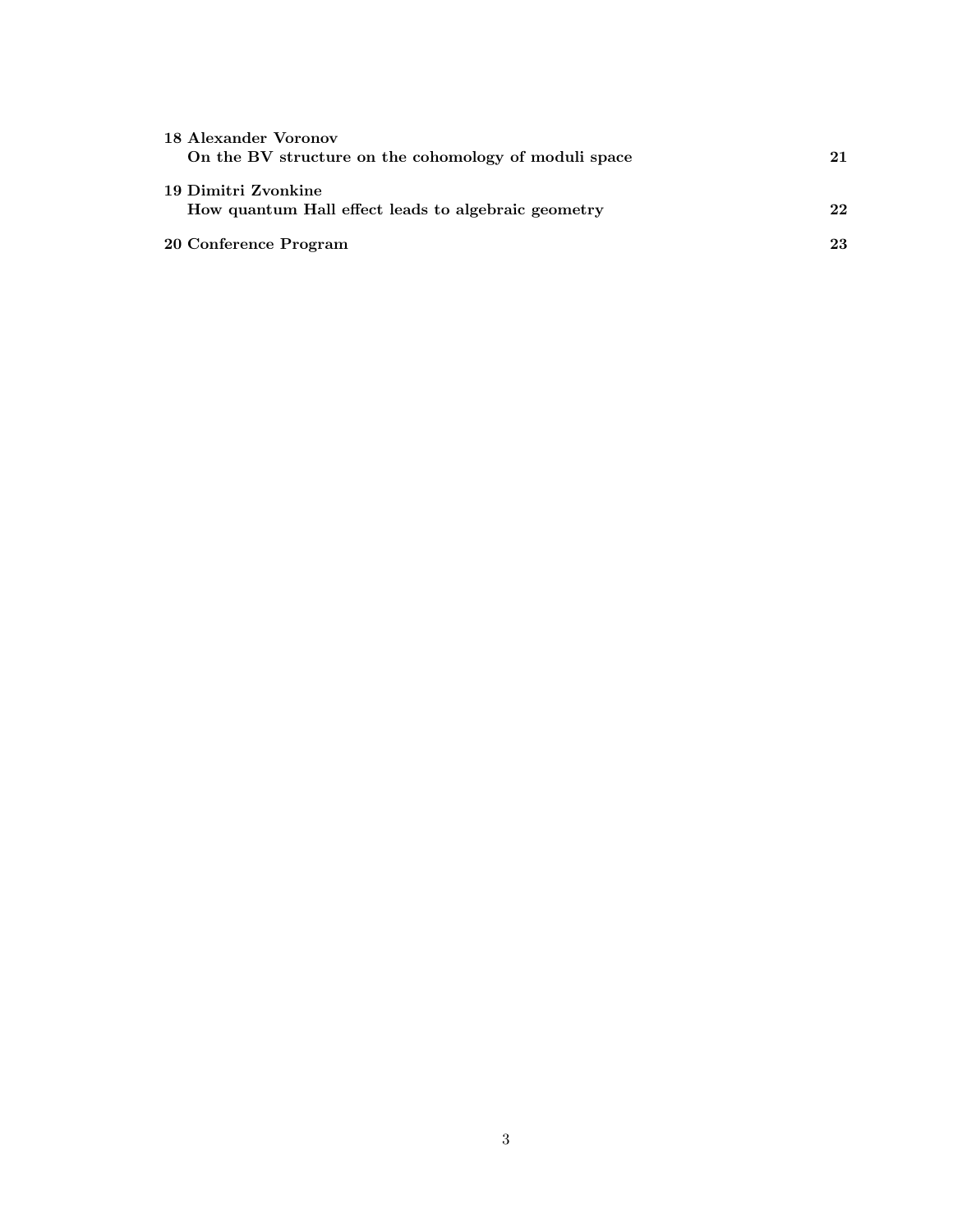| 18 Alexander Voronov                                  |    |
|-------------------------------------------------------|----|
| On the BV structure on the cohomology of moduli space | 21 |
|                                                       |    |
| 19 Dimitri Zvonkine                                   |    |
| How quantum Hall effect leads to algebraic geometry   | 22 |
|                                                       |    |
| 20 Conference Program                                 | 23 |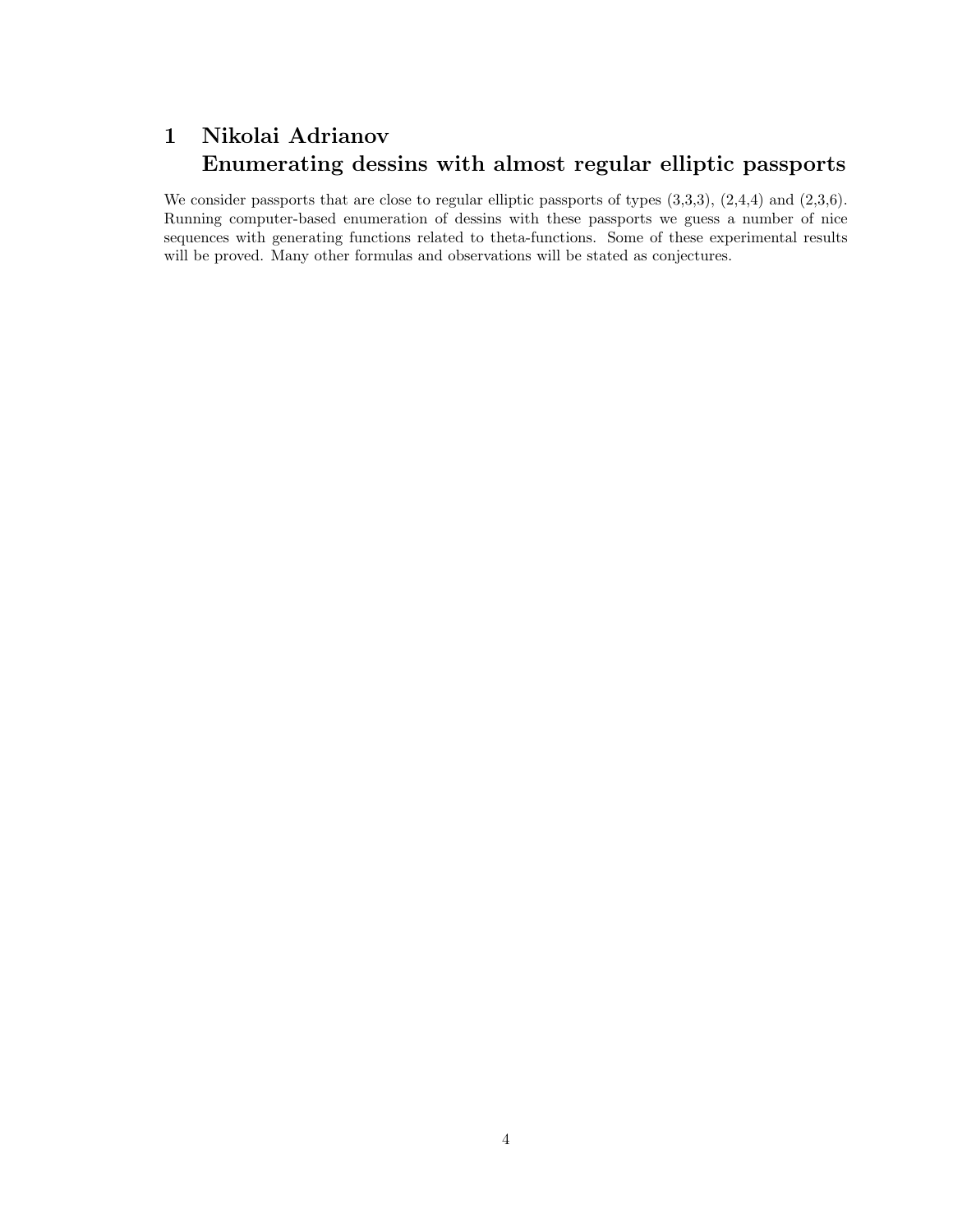# 1 Nikolai Adrianov Enumerating dessins with almost regular elliptic passports

We consider passports that are close to regular elliptic passports of types  $(3,3,3)$ ,  $(2,4,4)$  and  $(2,3,6)$ . Running computer-based enumeration of dessins with these passports we guess a number of nice sequences with generating functions related to theta-functions. Some of these experimental results will be proved. Many other formulas and observations will be stated as conjectures.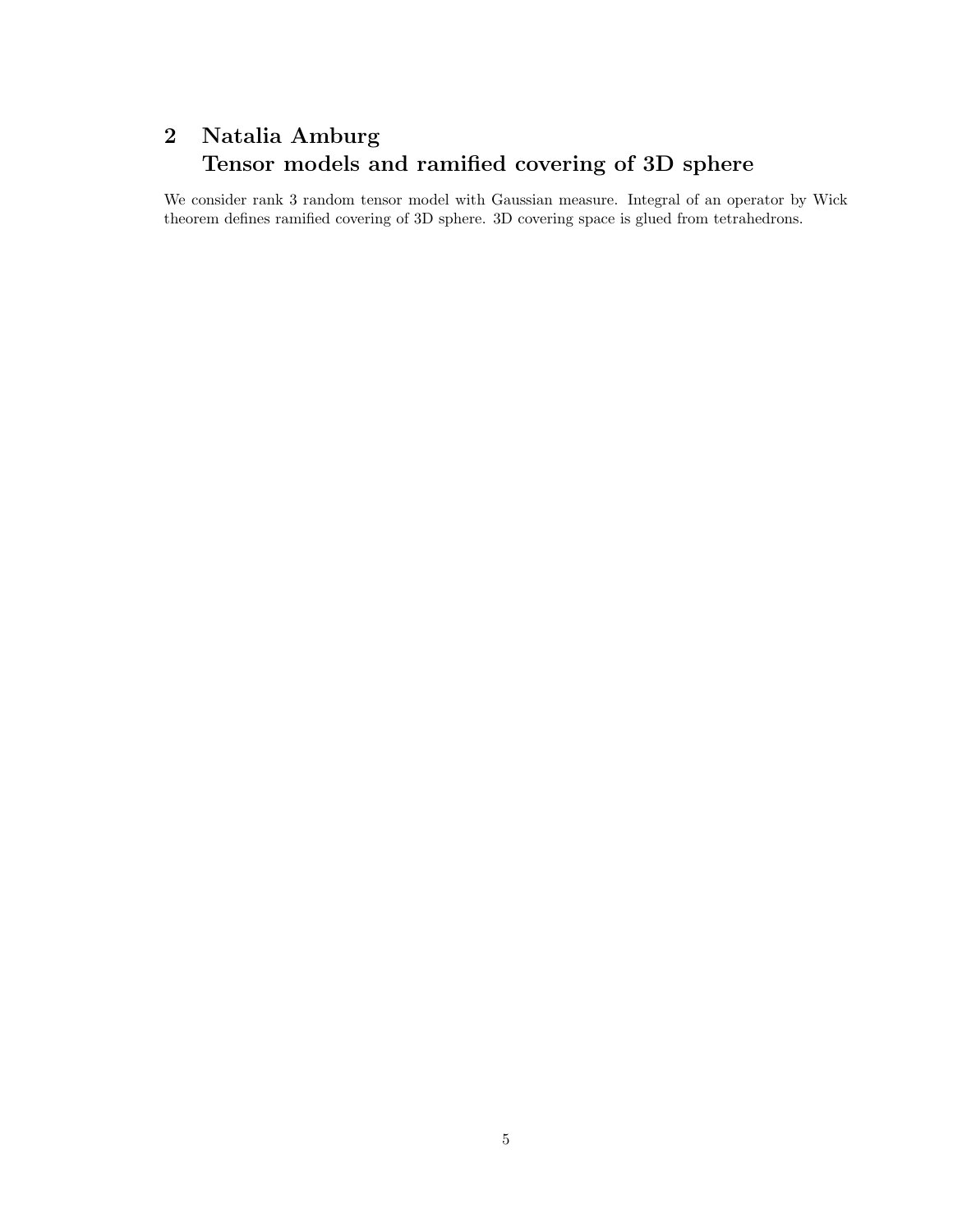# 2 Natalia Amburg Tensor models and ramified covering of 3D sphere

We consider rank 3 random tensor model with Gaussian measure. Integral of an operator by Wick theorem defines ramified covering of 3D sphere. 3D covering space is glued from tetrahedrons.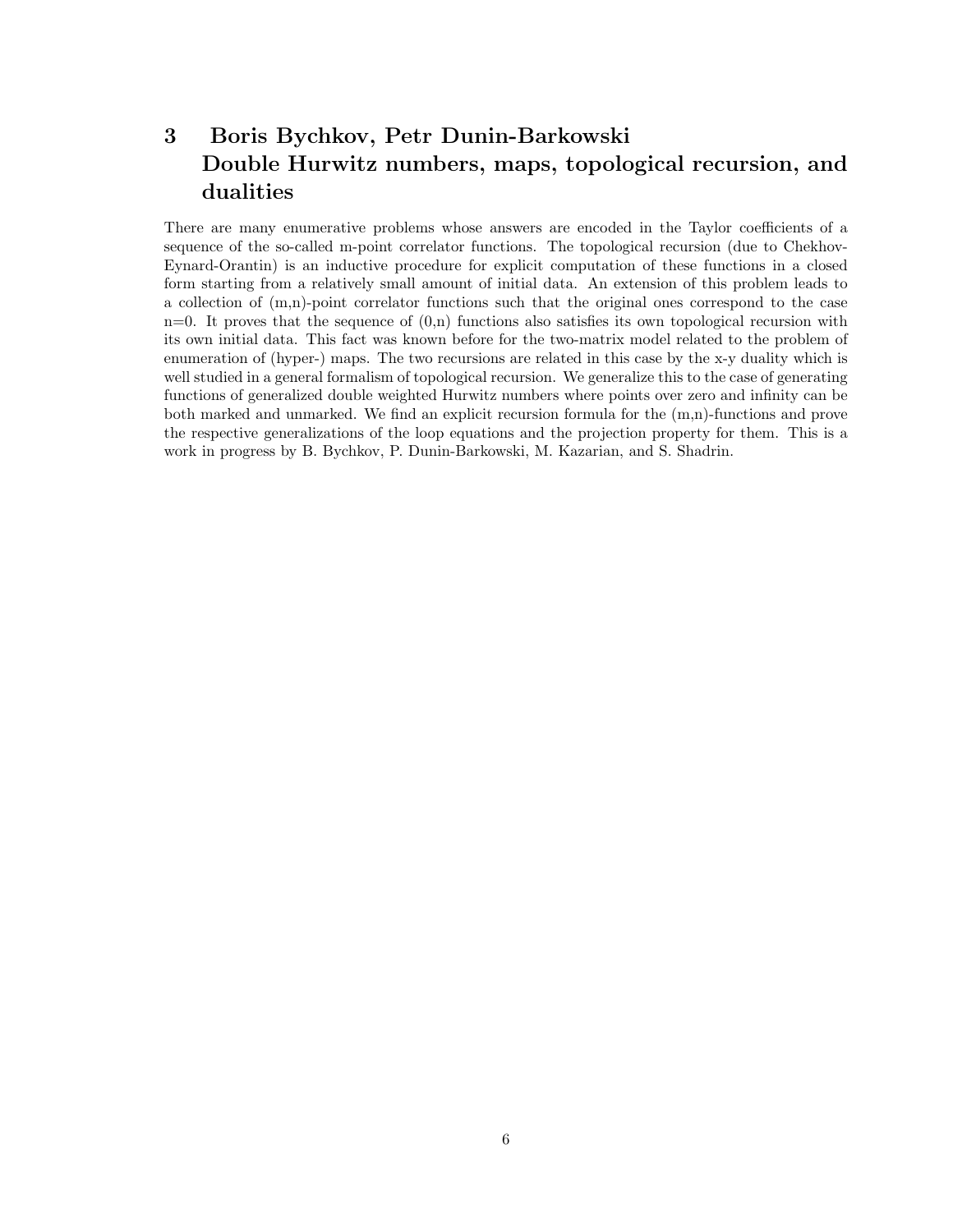## 3 Boris Bychkov, Petr Dunin-Barkowski Double Hurwitz numbers, maps, topological recursion, and dualities

There are many enumerative problems whose answers are encoded in the Taylor coefficients of a sequence of the so-called m-point correlator functions. The topological recursion (due to Chekhov-Eynard-Orantin) is an inductive procedure for explicit computation of these functions in a closed form starting from a relatively small amount of initial data. An extension of this problem leads to a collection of (m,n)-point correlator functions such that the original ones correspond to the case  $n=0$ . It proves that the sequence of  $(0,n)$  functions also satisfies its own topological recursion with its own initial data. This fact was known before for the two-matrix model related to the problem of enumeration of (hyper-) maps. The two recursions are related in this case by the x-y duality which is well studied in a general formalism of topological recursion. We generalize this to the case of generating functions of generalized double weighted Hurwitz numbers where points over zero and infinity can be both marked and unmarked. We find an explicit recursion formula for the (m,n)-functions and prove the respective generalizations of the loop equations and the projection property for them. This is a work in progress by B. Bychkov, P. Dunin-Barkowski, M. Kazarian, and S. Shadrin.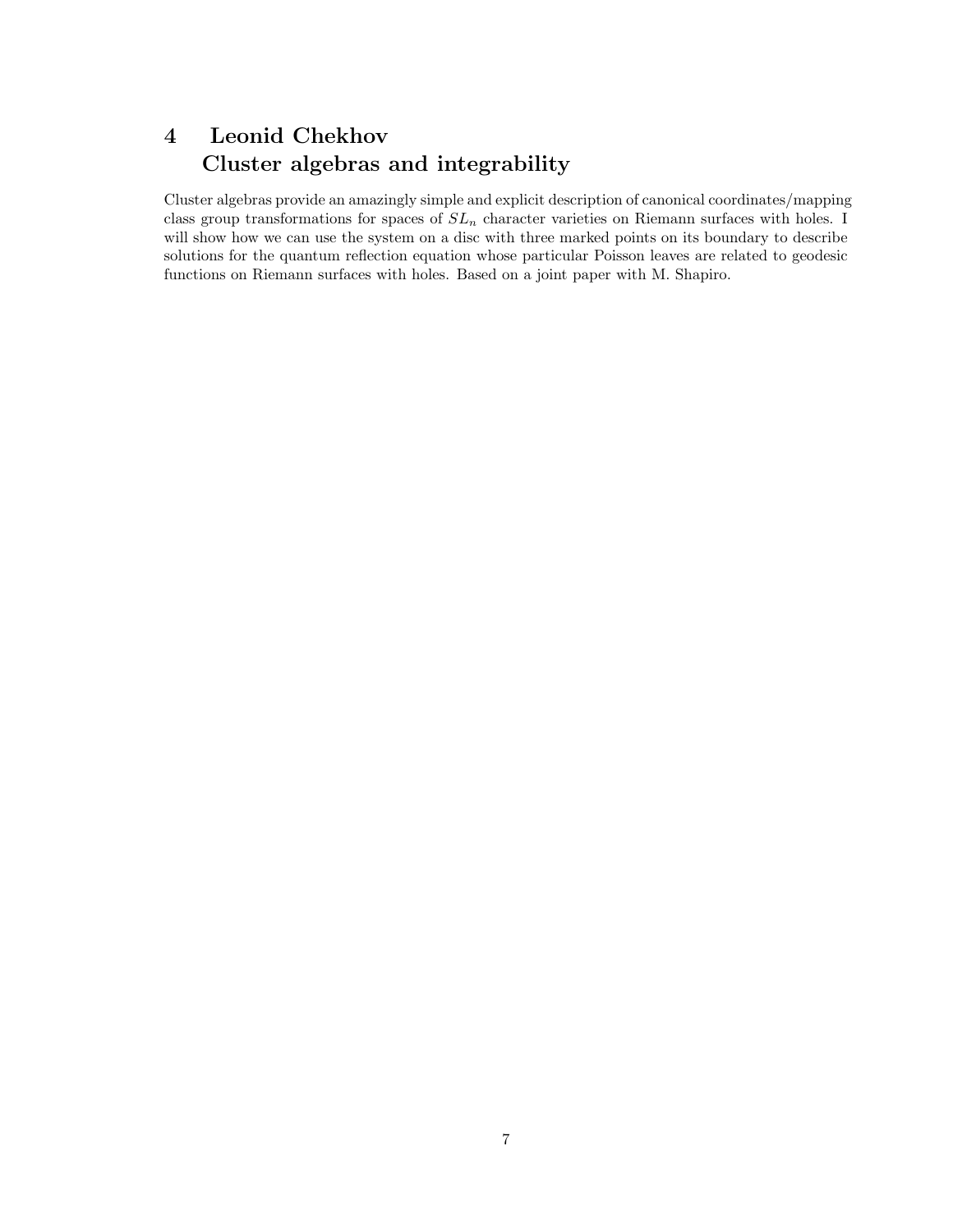## 4 Leonid Chekhov Cluster algebras and integrability

Cluster algebras provide an amazingly simple and explicit description of canonical coordinates/mapping class group transformations for spaces of  $SL_n$  character varieties on Riemann surfaces with holes. I will show how we can use the system on a disc with three marked points on its boundary to describe solutions for the quantum reflection equation whose particular Poisson leaves are related to geodesic functions on Riemann surfaces with holes. Based on a joint paper with M. Shapiro.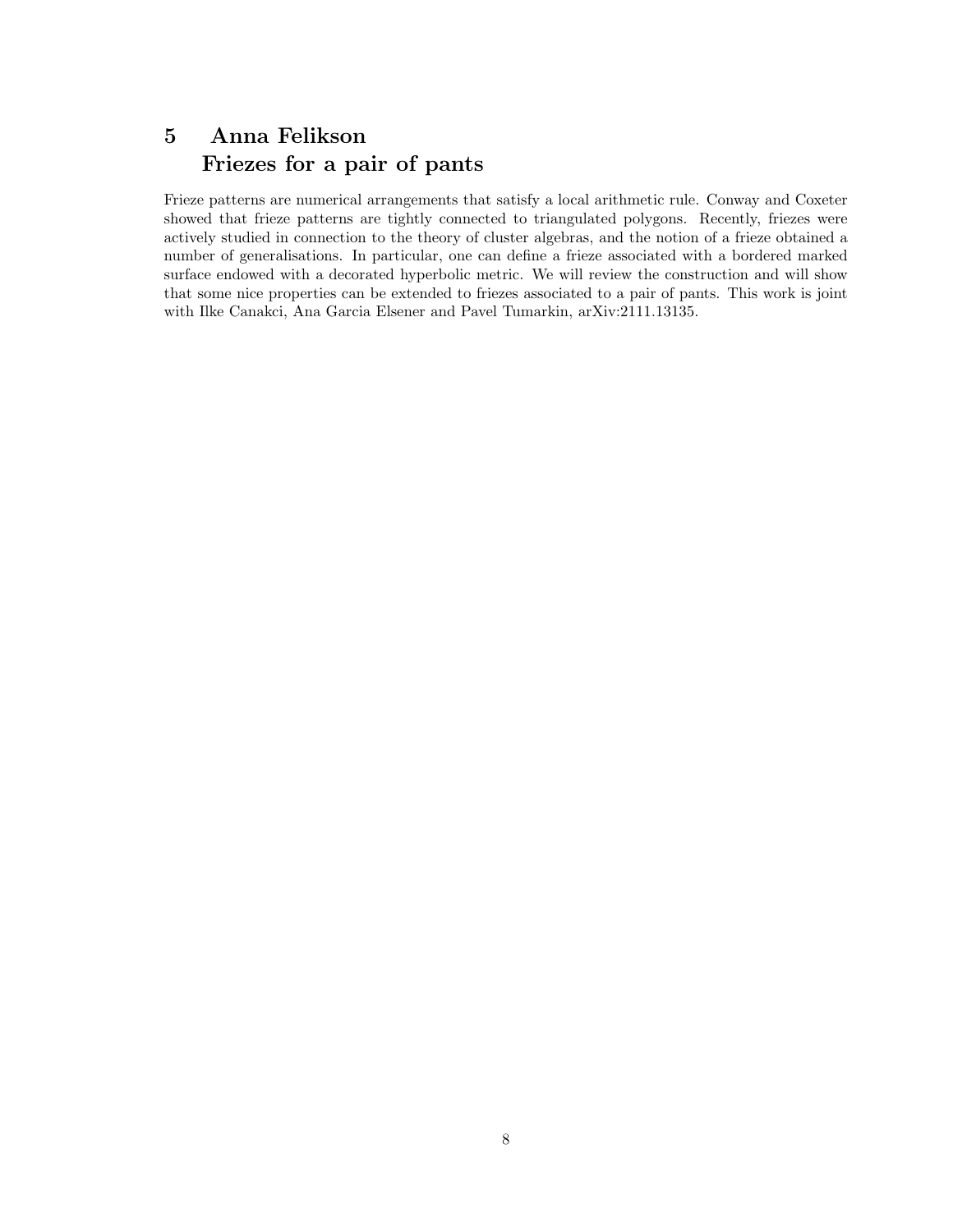### 5 Anna Felikson Friezes for a pair of pants

Frieze patterns are numerical arrangements that satisfy a local arithmetic rule. Conway and Coxeter showed that frieze patterns are tightly connected to triangulated polygons. Recently, friezes were actively studied in connection to the theory of cluster algebras, and the notion of a frieze obtained a number of generalisations. In particular, one can define a frieze associated with a bordered marked surface endowed with a decorated hyperbolic metric. We will review the construction and will show that some nice properties can be extended to friezes associated to a pair of pants. This work is joint with Ilke Canakci, Ana Garcia Elsener and Pavel Tumarkin, arXiv:2111.13135.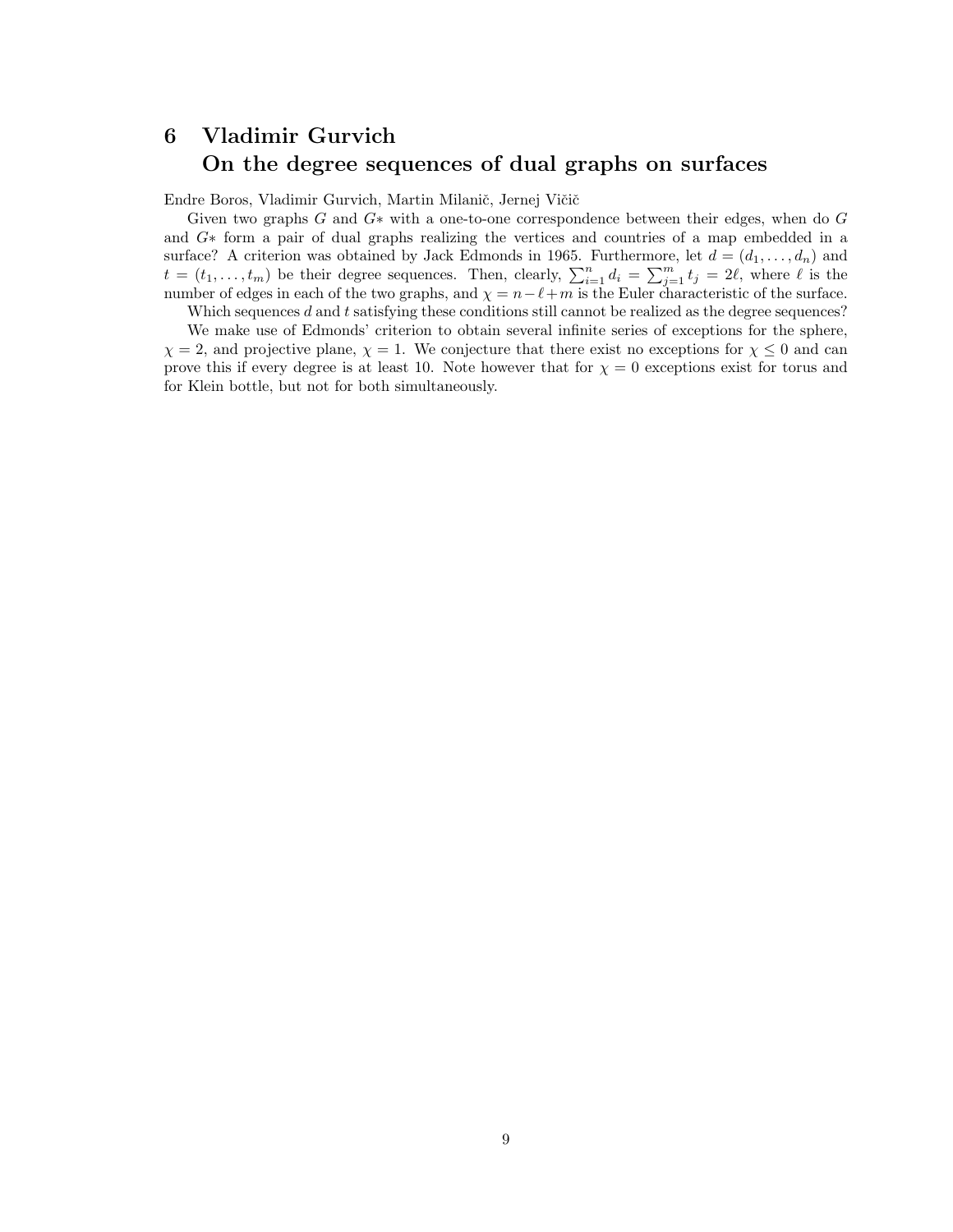# 6 Vladimir Gurvich On the degree sequences of dual graphs on surfaces

Endre Boros, Vladimir Gurvich, Martin Milanič, Jernej Vičič

Given two graphs G and  $G^*$  with a one-to-one correspondence between their edges, when do G and G∗ form a pair of dual graphs realizing the vertices and countries of a map embedded in a surface? A criterion was obtained by Jack Edmonds in 1965. Furthermore, let  $d = (d_1, \ldots, d_n)$  and  $t = (t_1, \ldots, t_m)$  be their degree sequences. Then, clearly,  $\sum_{i=1}^n d_i = \sum_{j=1}^m t_j = 2\ell$ , where  $\ell$  is the number of edges in each of the two graphs, and  $\chi = n-\ell+m$  is the Euler characteristic of the surface.

Which sequences  $d$  and  $t$  satisfying these conditions still cannot be realized as the degree sequences?

We make use of Edmonds' criterion to obtain several infinite series of exceptions for the sphere,  $\chi = 2$ , and projective plane,  $\chi = 1$ . We conjecture that there exist no exceptions for  $\chi \leq 0$  and can prove this if every degree is at least 10. Note however that for  $\chi = 0$  exceptions exist for torus and for Klein bottle, but not for both simultaneously.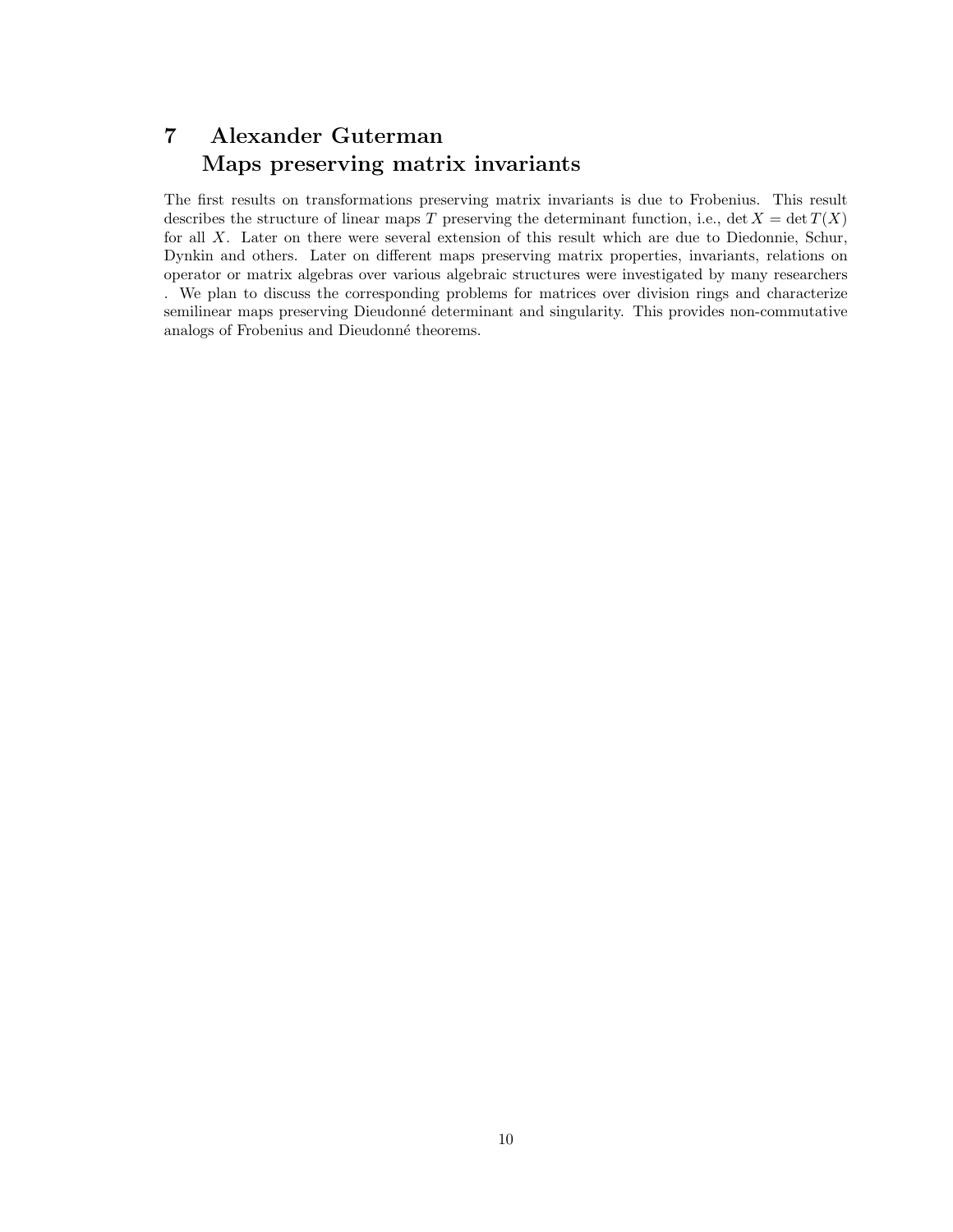### 7 Alexander Guterman Maps preserving matrix invariants

The first results on transformations preserving matrix invariants is due to Frobenius. This result describes the structure of linear maps T preserving the determinant function, i.e., det  $X = \det T(X)$ for all X. Later on there were several extension of this result which are due to Diedonnie, Schur, Dynkin and others. Later on different maps preserving matrix properties, invariants, relations on operator or matrix algebras over various algebraic structures were investigated by many researchers . We plan to discuss the corresponding problems for matrices over division rings and characterize semilinear maps preserving Dieudonné determinant and singularity. This provides non-commutative analogs of Frobenius and Dieudonné theorems.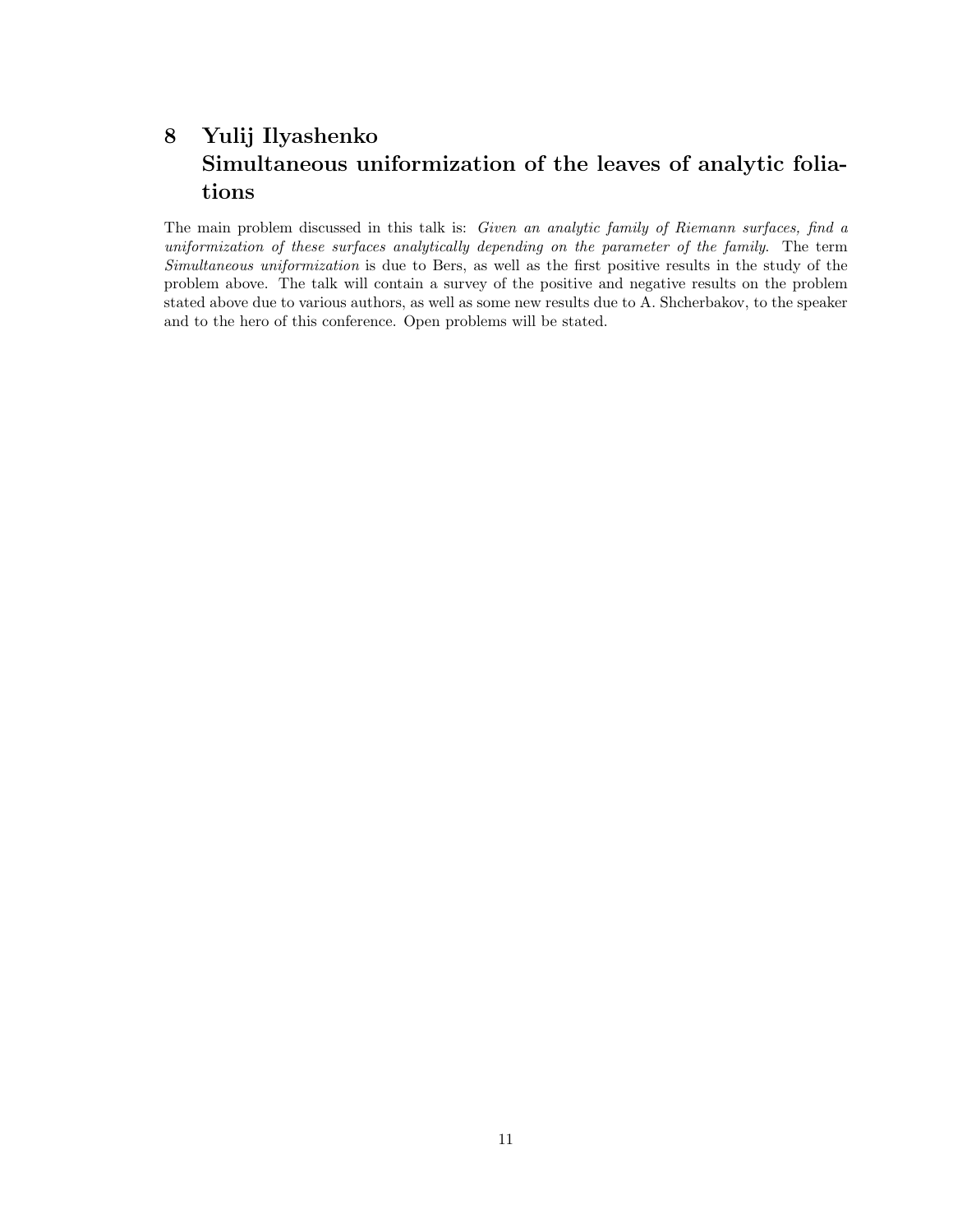# 8 Yulij Ilyashenko Simultaneous uniformization of the leaves of analytic foliations

The main problem discussed in this talk is: Given an analytic family of Riemann surfaces, find a uniformization of these surfaces analytically depending on the parameter of the family. The term Simultaneous uniformization is due to Bers, as well as the first positive results in the study of the problem above. The talk will contain a survey of the positive and negative results on the problem stated above due to various authors, as well as some new results due to A. Shcherbakov, to the speaker and to the hero of this conference. Open problems will be stated.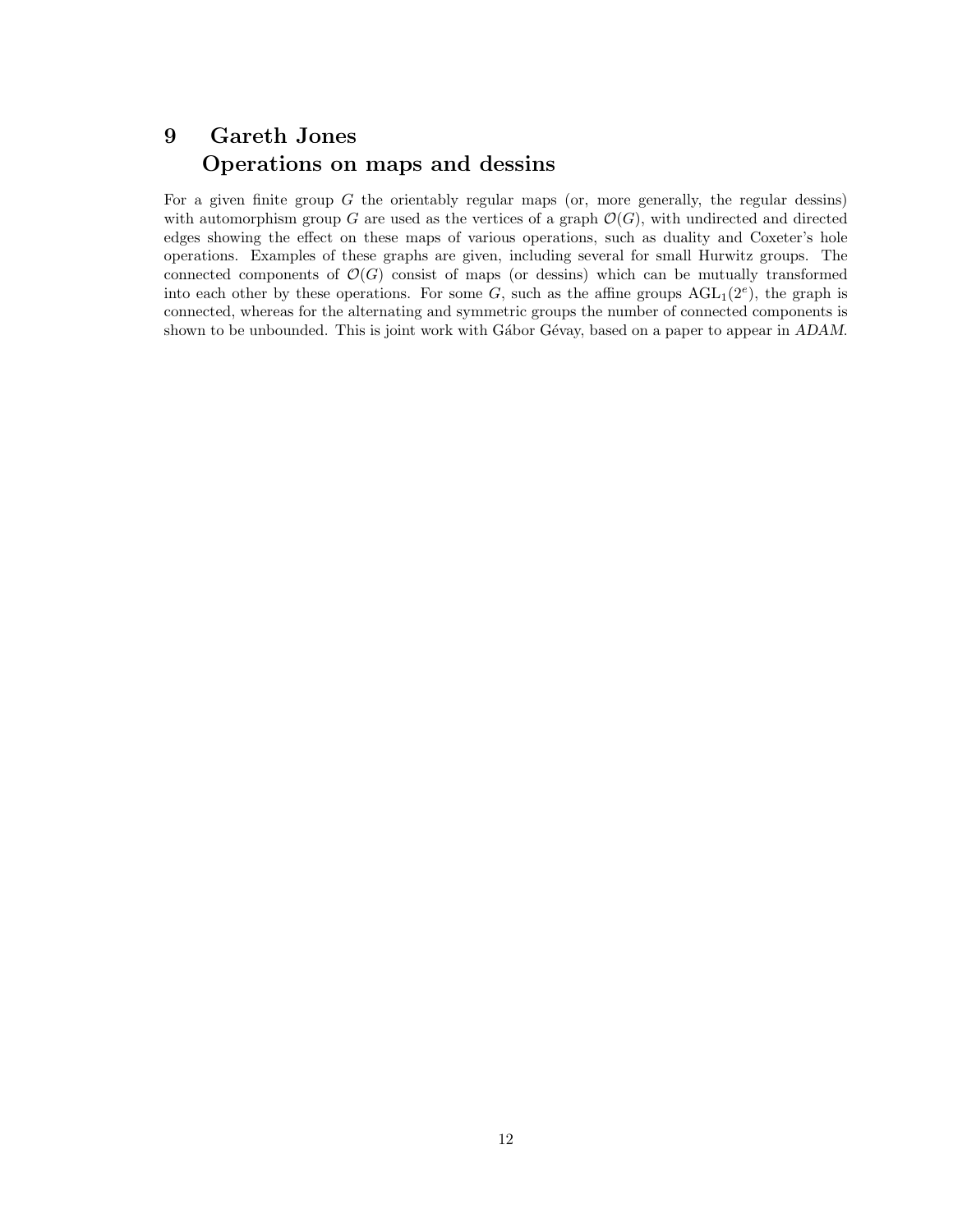#### 9 Gareth Jones Operations on maps and dessins

For a given finite group  $G$  the orientably regular maps (or, more generally, the regular dessins) with automorphism group G are used as the vertices of a graph  $\mathcal{O}(G)$ , with undirected and directed edges showing the effect on these maps of various operations, such as duality and Coxeter's hole operations. Examples of these graphs are given, including several for small Hurwitz groups. The connected components of  $\mathcal{O}(G)$  consist of maps (or dessins) which can be mutually transformed into each other by these operations. For some G, such as the affine groups  $AGL_1(2^e)$ , the graph is connected, whereas for the alternating and symmetric groups the number of connected components is shown to be unbounded. This is joint work with Gábor Gévay, based on a paper to appear in ADAM.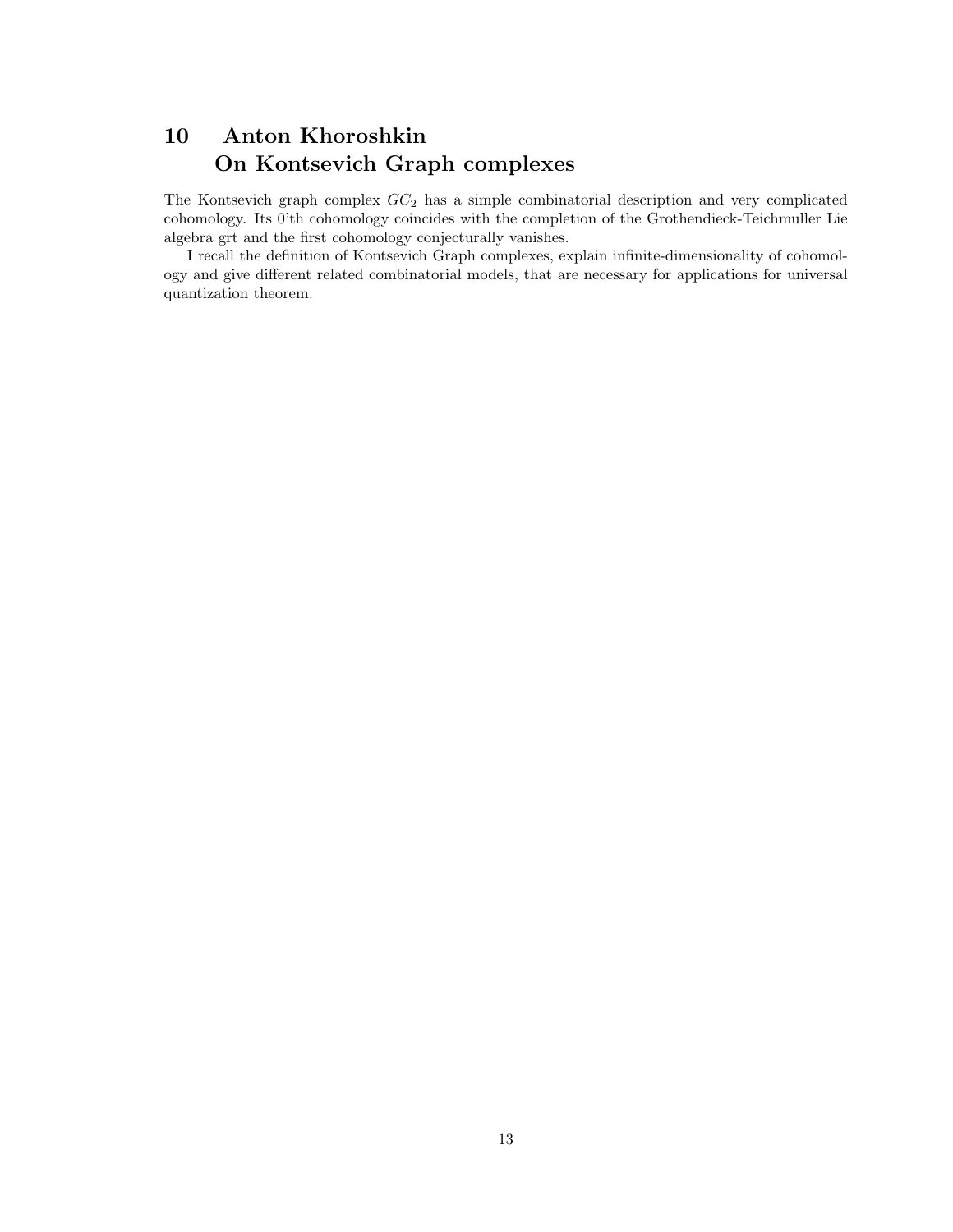## 10 Anton Khoroshkin On Kontsevich Graph complexes

The Kontsevich graph complex  $GC_2$  has a simple combinatorial description and very complicated cohomology. Its 0'th cohomology coincides with the completion of the Grothendieck-Teichmuller Lie algebra grt and the first cohomology conjecturally vanishes.

I recall the definition of Kontsevich Graph complexes, explain infinite-dimensionality of cohomology and give different related combinatorial models, that are necessary for applications for universal quantization theorem.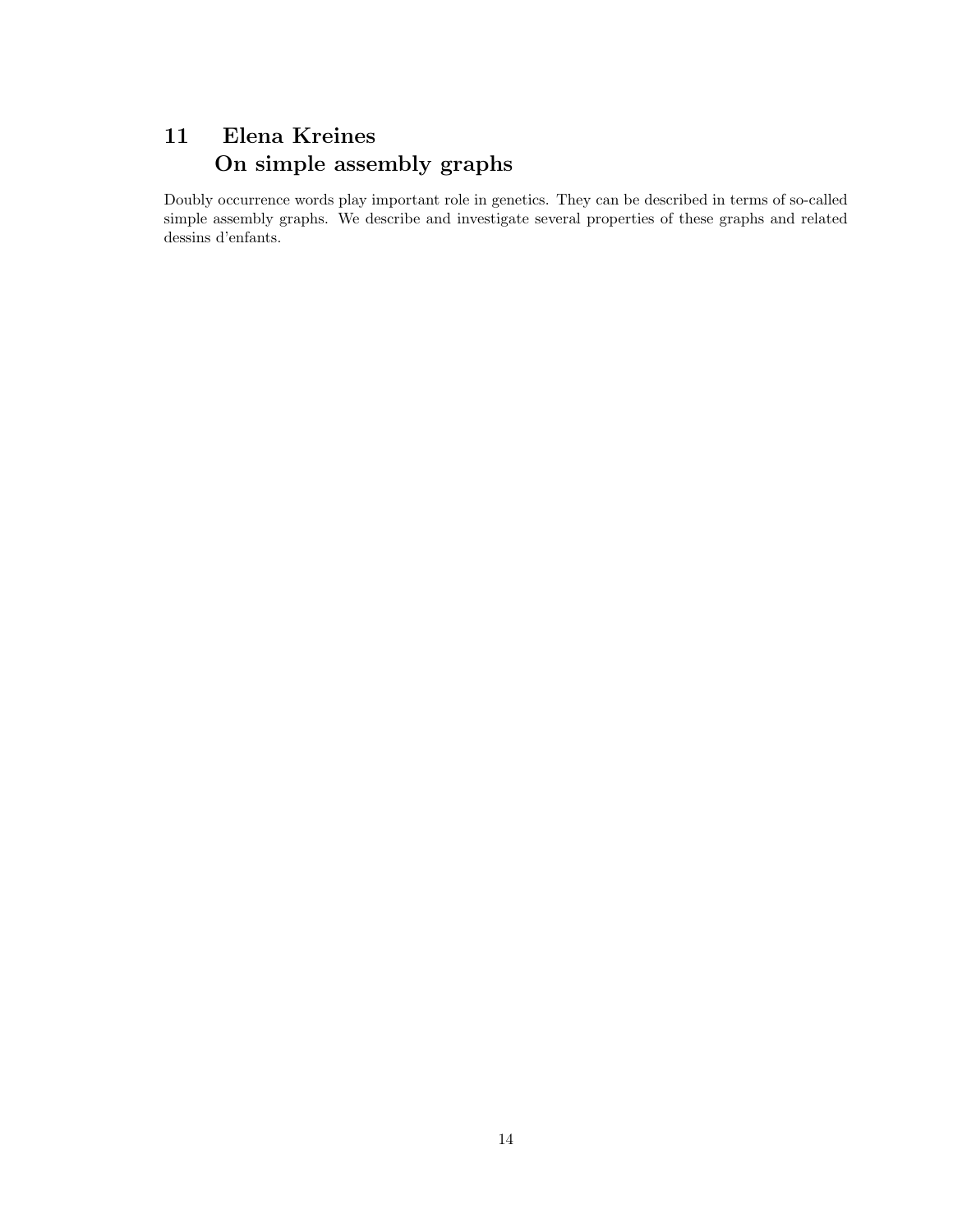# 11 Elena Kreines On simple assembly graphs

Doubly occurrence words play important role in genetics. They can be described in terms of so-called simple assembly graphs. We describe and investigate several properties of these graphs and related dessins d'enfants.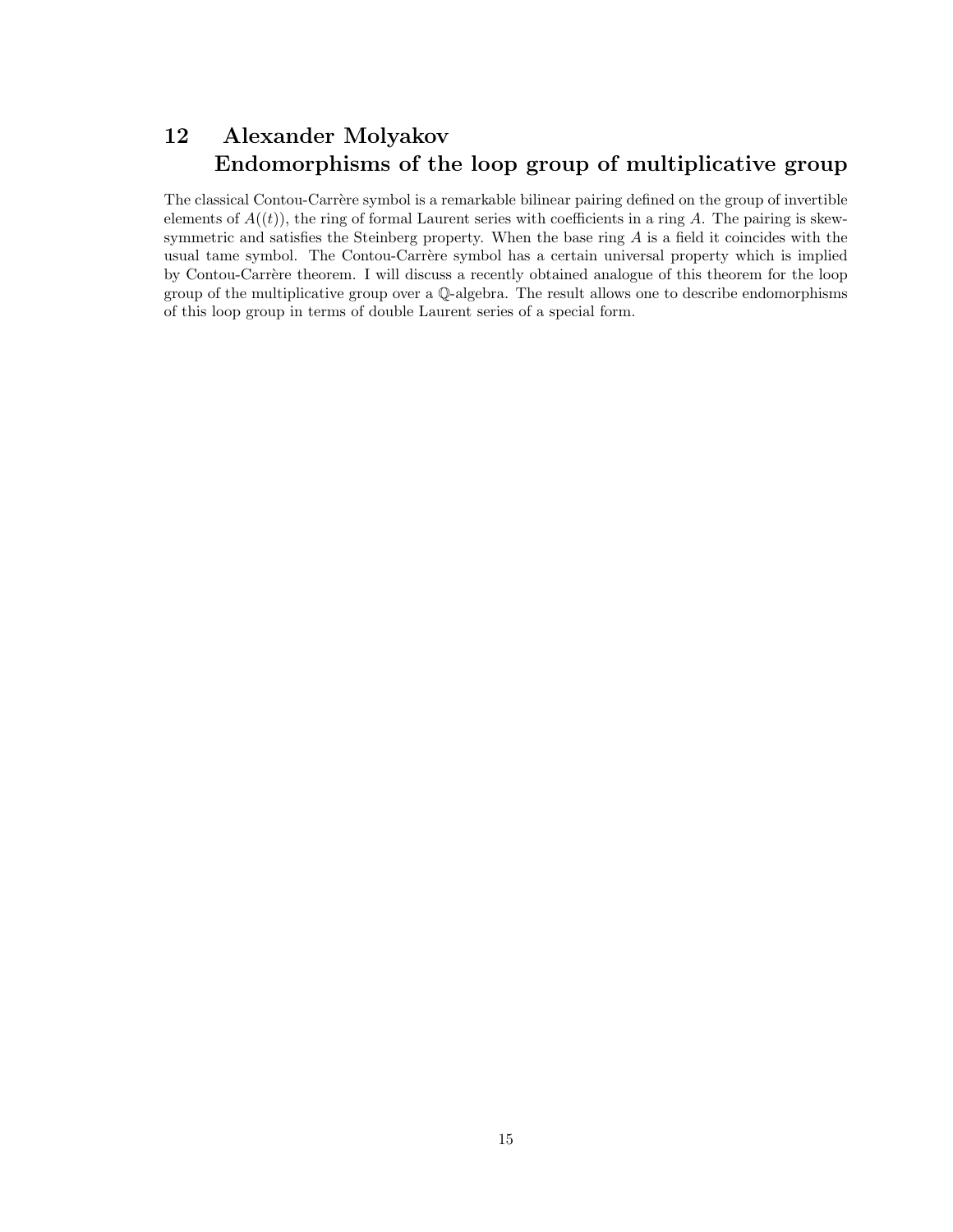### 12 Alexander Molyakov Endomorphisms of the loop group of multiplicative group

The classical Contou-Carrère symbol is a remarkable bilinear pairing defined on the group of invertible elements of  $A((t))$ , the ring of formal Laurent series with coefficients in a ring A. The pairing is skewsymmetric and satisfies the Steinberg property. When the base ring  $A$  is a field it coincides with the usual tame symbol. The Contou-Carrère symbol has a certain universal property which is implied by Contou-Carrère theorem. I will discuss a recently obtained analogue of this theorem for the loop group of the multiplicative group over a Q-algebra. The result allows one to describe endomorphisms of this loop group in terms of double Laurent series of a special form.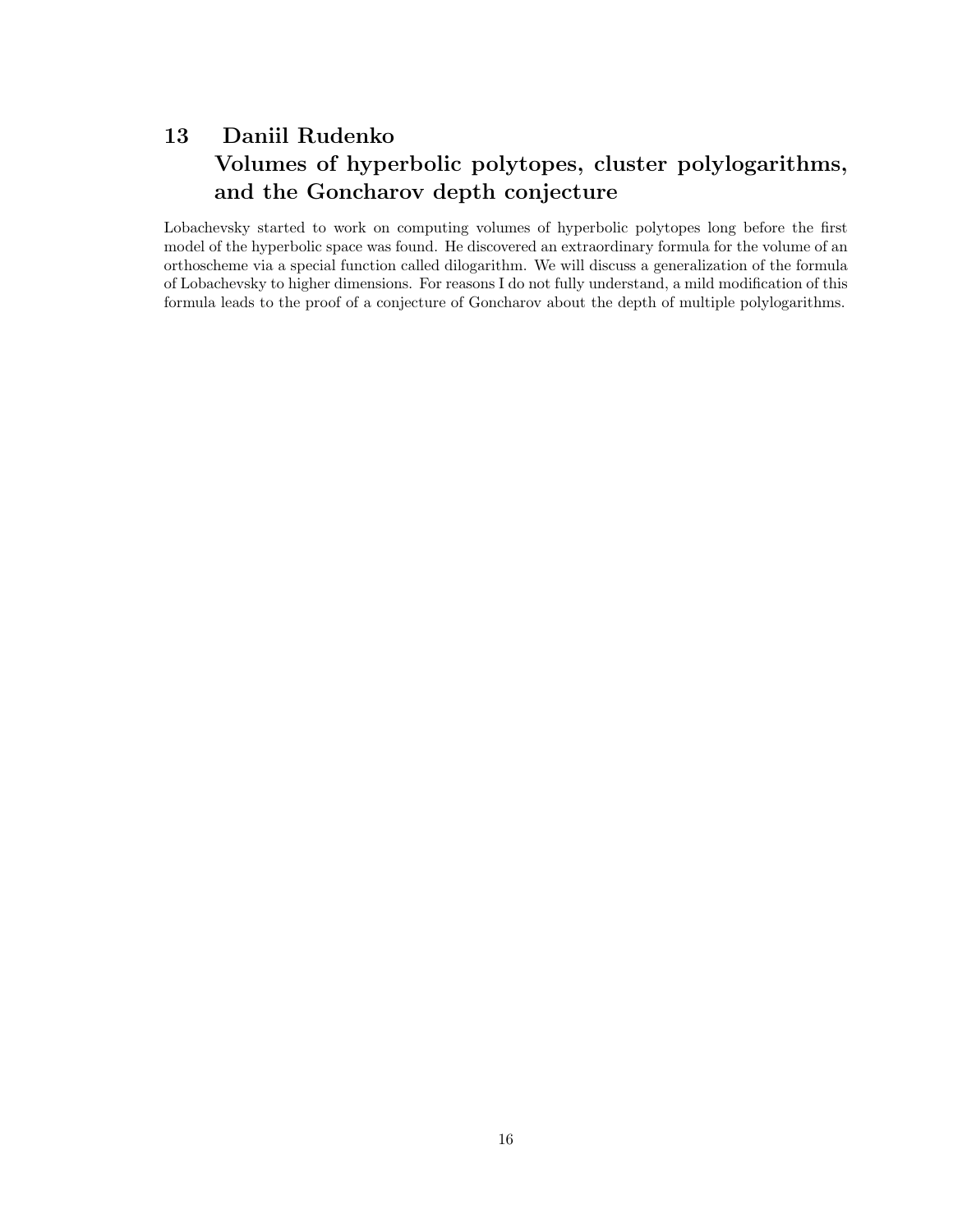# 13 Daniil Rudenko Volumes of hyperbolic polytopes, cluster polylogarithms, and the Goncharov depth conjecture

Lobachevsky started to work on computing volumes of hyperbolic polytopes long before the first model of the hyperbolic space was found. He discovered an extraordinary formula for the volume of an orthoscheme via a special function called dilogarithm. We will discuss a generalization of the formula of Lobachevsky to higher dimensions. For reasons I do not fully understand, a mild modification of this formula leads to the proof of a conjecture of Goncharov about the depth of multiple polylogarithms.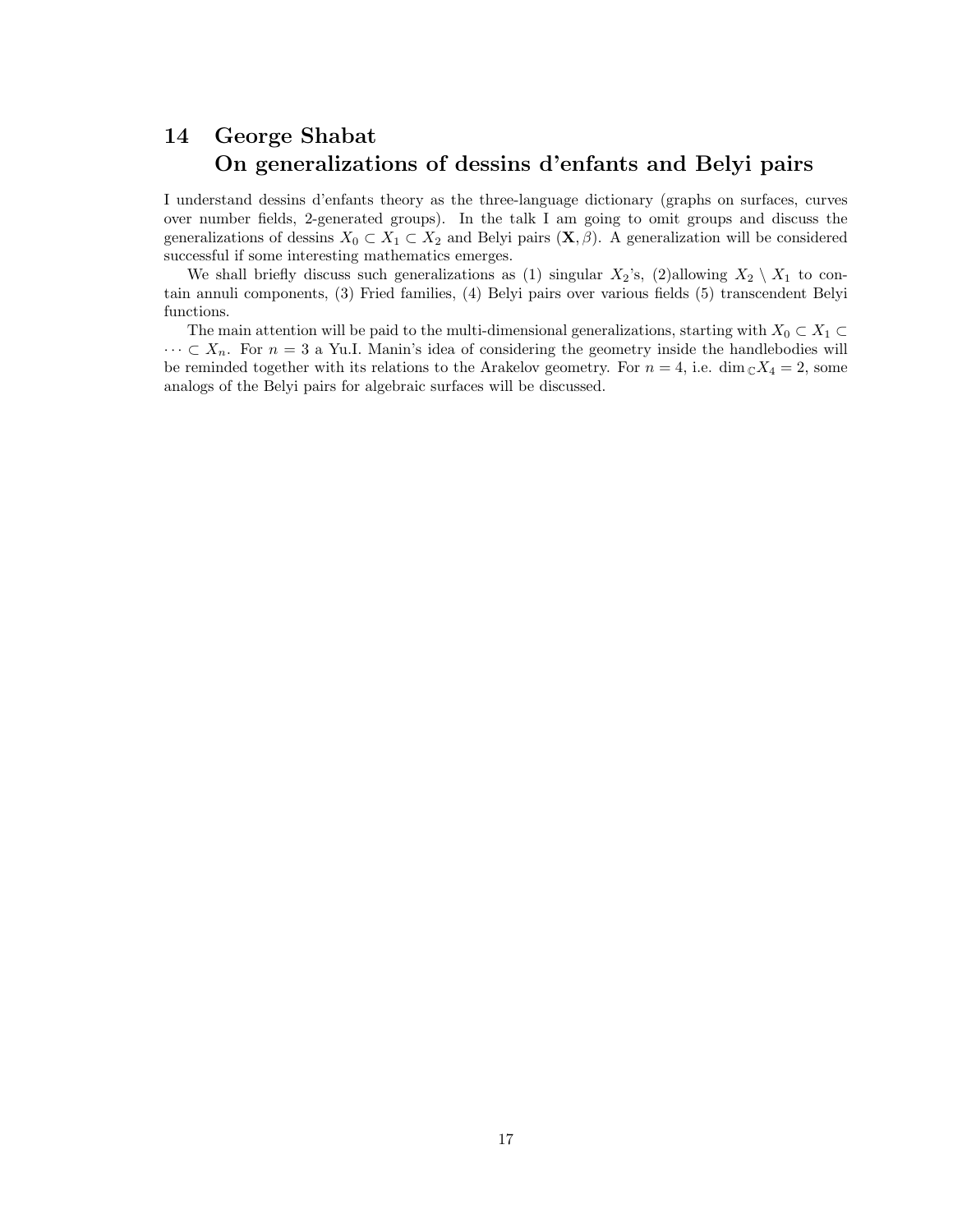### 14 George Shabat On generalizations of dessins d'enfants and Belyi pairs

I understand dessins d'enfants theory as the three-language dictionary (graphs on surfaces, curves over number fields, 2-generated groups). In the talk I am going to omit groups and discuss the generalizations of dessins  $X_0 \subset X_1 \subset X_2$  and Belyi pairs  $(\mathbf{X}, \beta)$ . A generalization will be considered successful if some interesting mathematics emerges.

We shall briefly discuss such generalizations as (1) singular  $X_2$ 's, (2)allowing  $X_2 \setminus X_1$  to contain annuli components, (3) Fried families, (4) Belyi pairs over various fields (5) transcendent Belyi functions.

The main attention will be paid to the multi-dimensional generalizations, starting with  $X_0 \subset X_1 \subset$  $\cdots \subset X_n$ . For  $n = 3$  a Yu.I. Manin's idea of considering the geometry inside the handlebodies will be reminded together with its relations to the Arakelov geometry. For  $n = 4$ , i.e. dim  $\mathbb{C}X_4 = 2$ , some analogs of the Belyi pairs for algebraic surfaces will be discussed.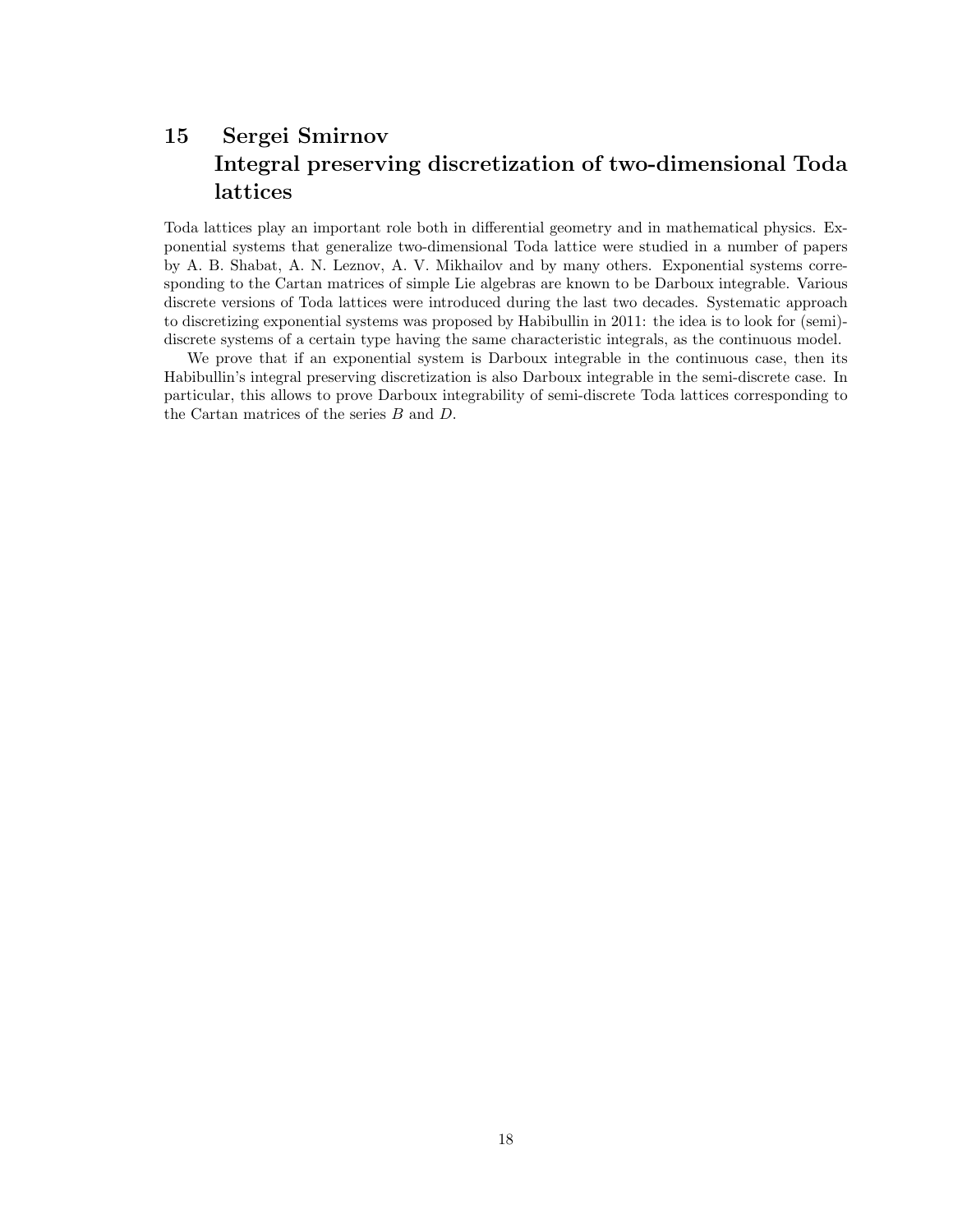# 15 Sergei Smirnov Integral preserving discretization of two-dimensional Toda lattices

Toda lattices play an important role both in differential geometry and in mathematical physics. Exponential systems that generalize two-dimensional Toda lattice were studied in a number of papers by A. B. Shabat, A. N. Leznov, A. V. Mikhailov and by many others. Exponential systems corresponding to the Cartan matrices of simple Lie algebras are known to be Darboux integrable. Various discrete versions of Toda lattices were introduced during the last two decades. Systematic approach to discretizing exponential systems was proposed by Habibullin in 2011: the idea is to look for (semi) discrete systems of a certain type having the same characteristic integrals, as the continuous model.

We prove that if an exponential system is Darboux integrable in the continuous case, then its Habibullin's integral preserving discretization is also Darboux integrable in the semi-discrete case. In particular, this allows to prove Darboux integrability of semi-discrete Toda lattices corresponding to the Cartan matrices of the series B and D.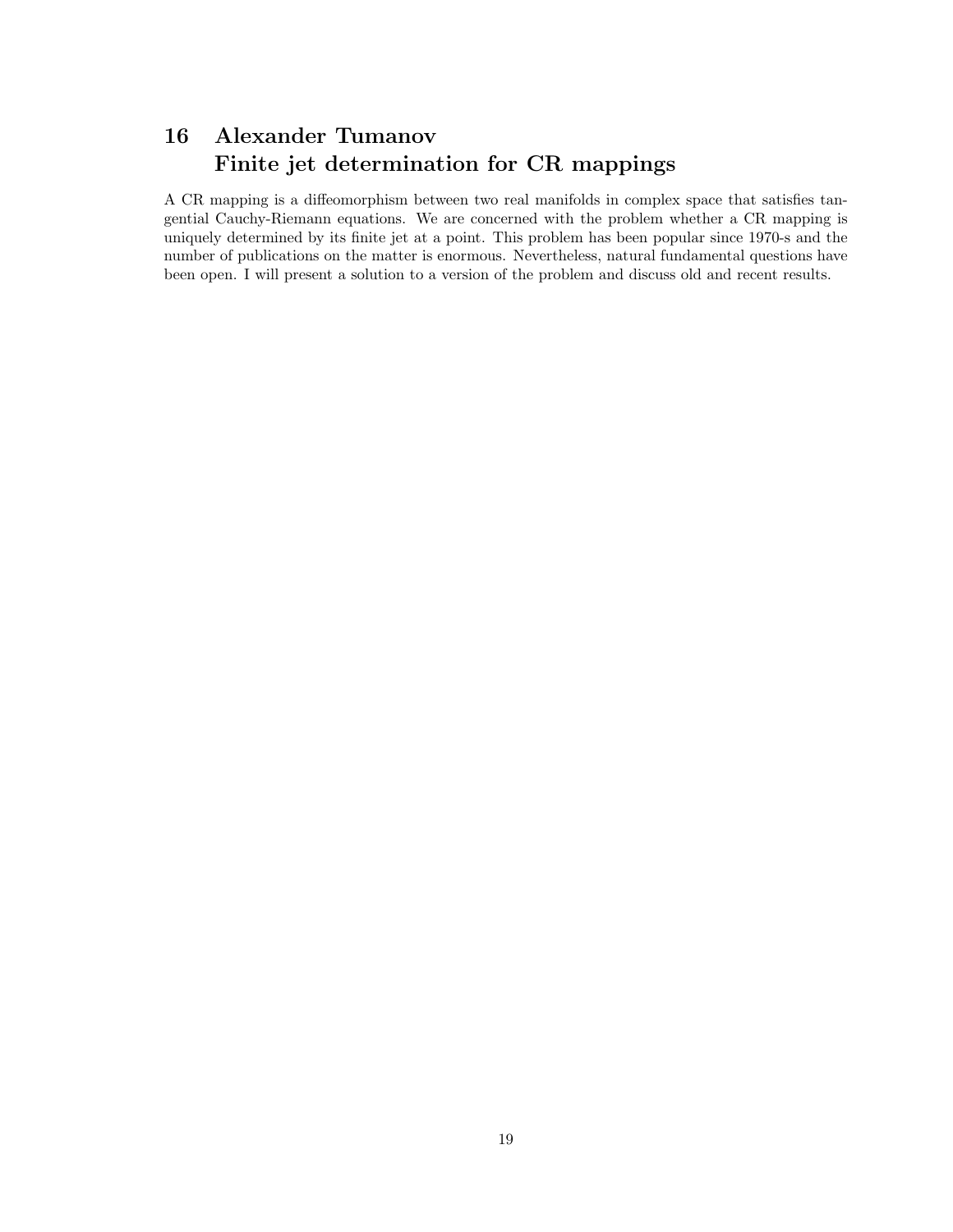## 16 Alexander Tumanov Finite jet determination for CR mappings

A CR mapping is a diffeomorphism between two real manifolds in complex space that satisfies tangential Cauchy-Riemann equations. We are concerned with the problem whether a CR mapping is uniquely determined by its finite jet at a point. This problem has been popular since 1970-s and the number of publications on the matter is enormous. Nevertheless, natural fundamental questions have been open. I will present a solution to a version of the problem and discuss old and recent results.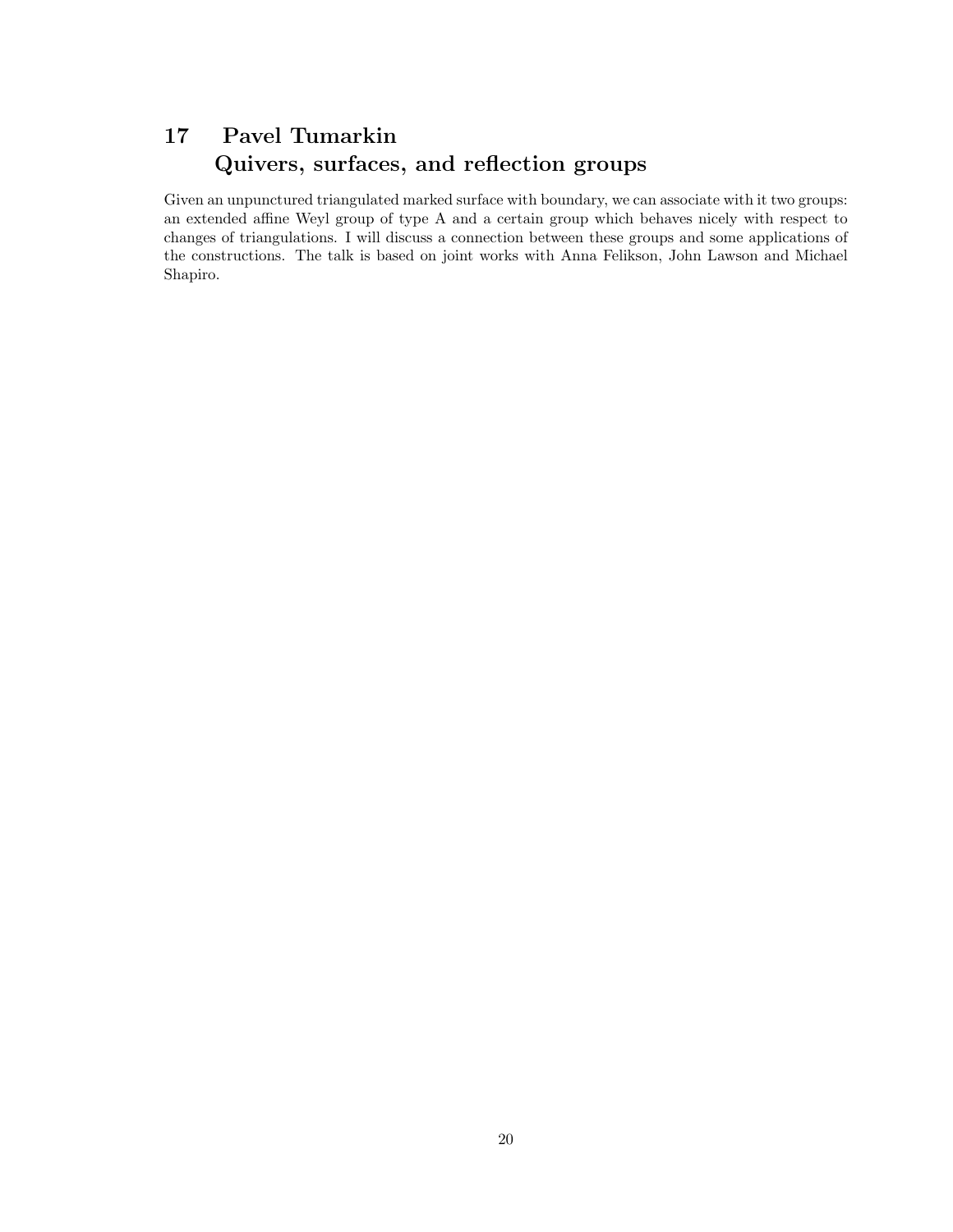### 17 Pavel Tumarkin Quivers, surfaces, and reflection groups

Given an unpunctured triangulated marked surface with boundary, we can associate with it two groups: an extended affine Weyl group of type A and a certain group which behaves nicely with respect to changes of triangulations. I will discuss a connection between these groups and some applications of the constructions. The talk is based on joint works with Anna Felikson, John Lawson and Michael Shapiro.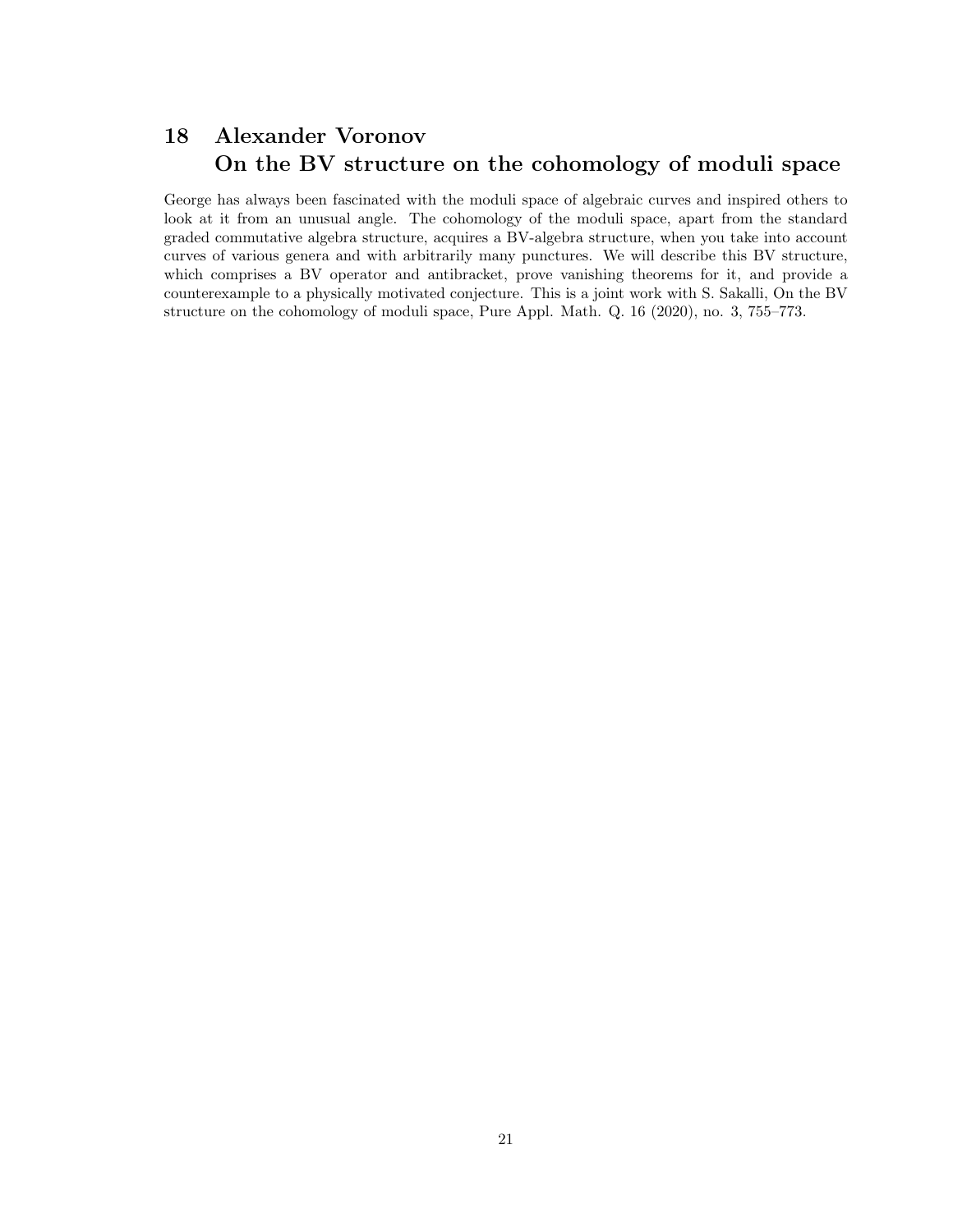### 18 Alexander Voronov On the BV structure on the cohomology of moduli space

George has always been fascinated with the moduli space of algebraic curves and inspired others to look at it from an unusual angle. The cohomology of the moduli space, apart from the standard graded commutative algebra structure, acquires a BV-algebra structure, when you take into account curves of various genera and with arbitrarily many punctures. We will describe this BV structure, which comprises a BV operator and antibracket, prove vanishing theorems for it, and provide a counterexample to a physically motivated conjecture. This is a joint work with S. Sakalli, On the BV structure on the cohomology of moduli space, Pure Appl. Math. Q. 16 (2020), no. 3, 755–773.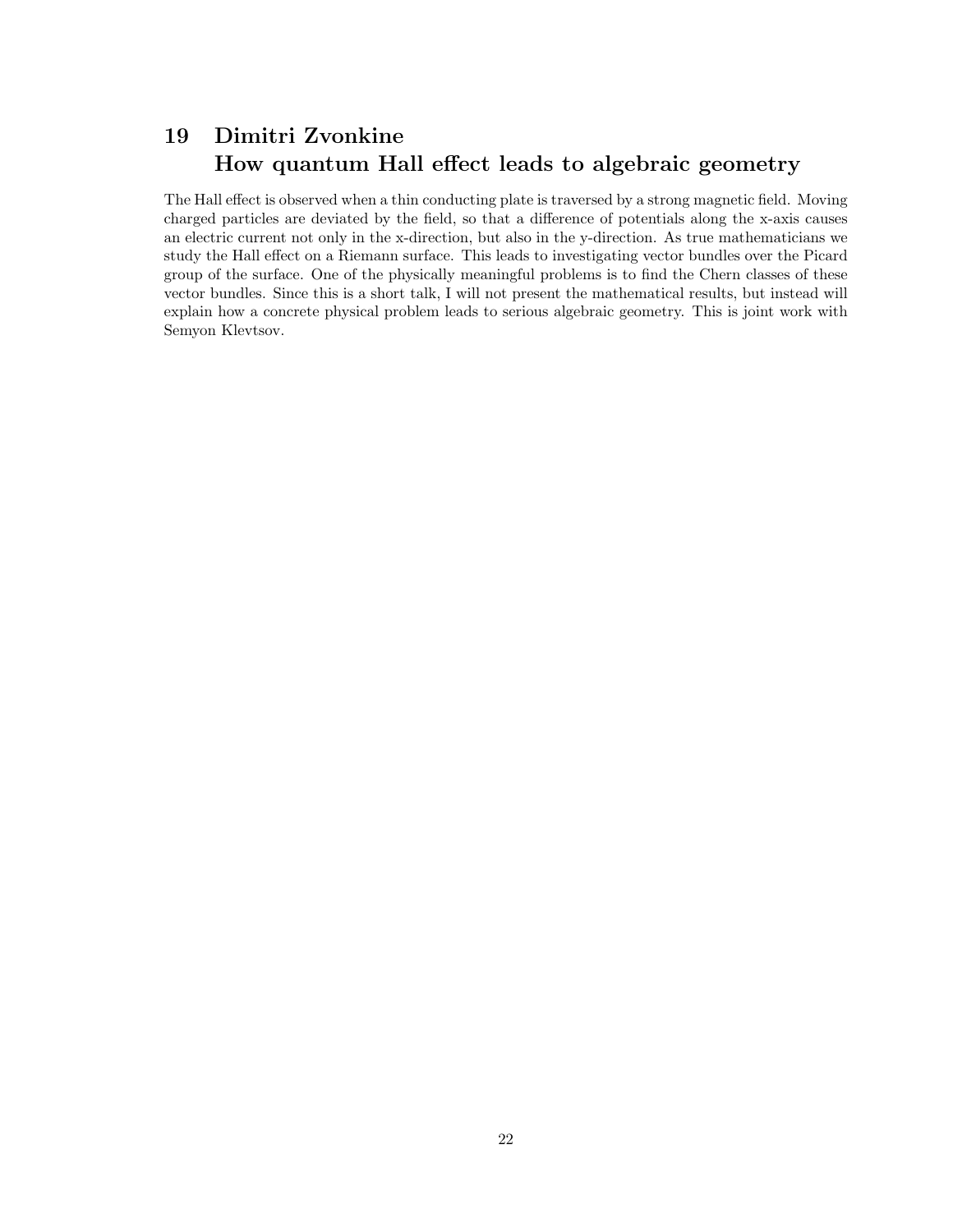### 19 Dimitri Zvonkine How quantum Hall effect leads to algebraic geometry

The Hall effect is observed when a thin conducting plate is traversed by a strong magnetic field. Moving charged particles are deviated by the field, so that a difference of potentials along the x-axis causes an electric current not only in the x-direction, but also in the y-direction. As true mathematicians we study the Hall effect on a Riemann surface. This leads to investigating vector bundles over the Picard group of the surface. One of the physically meaningful problems is to find the Chern classes of these vector bundles. Since this is a short talk, I will not present the mathematical results, but instead will explain how a concrete physical problem leads to serious algebraic geometry. This is joint work with Semyon Klevtsov.